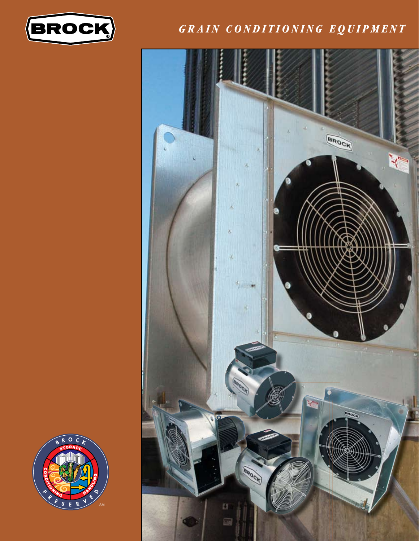

#### GRAIN CONDITIONING EQUIPMENT



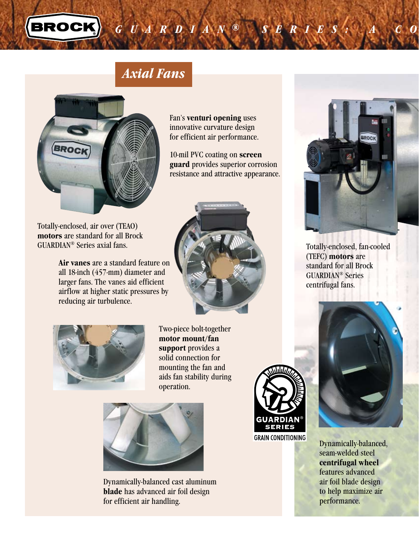

# *Axial Fans*



Totally-enclosed, air over (TEAO) **motors** are standard for all Brock GUARDIAN® Series axial fans.

> **Air vanes** are a standard feature on all 18-inch (457-mm) diameter and larger fans. The vanes aid efficient airflow at higher static pressures by reducing air turbulence.



Fan's **venturi opening** uses innovative curvature design for efficient air performance.

10-mil PVC coating on **screen guard** provides superior corrosion resistance and attractive appearance.



Two-piece bolt-together **motor mount/fan support** provides a solid connection for mounting the fan and aids fan stability during operation.



Dynamically-balanced cast aluminum **blade** has advanced air foil design for efficient air handling.





*GUARDIA <sup>N</sup> ® Se ri <sup>e</sup> <sup>s</sup> : A Complete Lin <sup>e</sup> o f Fans t o <sup>M</sup> eet Y o ur <sup>G</sup> rain C o ndi <sup>t</sup> <sup>i</sup> <sup>o</sup> ning Nee ds*

Totally-enclosed, fan-cooled (TEFC) **motors** are standard for all Brock GUARDIAN® Series centrifugal fans.



Dynamically-balanced, seam-welded steel **centrifugal wheel** features advanced air foil blade design to help maximize air performance.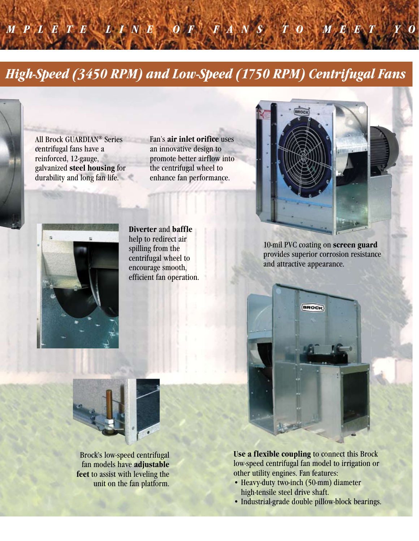# *High-Speed (3450 Rpm) and low-Speed (1750 Rpm) Centrifugal fans*

*GUARDIA <sup>N</sup> ® SeRIeS : A Complete lINe o f fANS t o meet YoUR GRAIN CoNDItIoNING NeeDS*

All Brock GUARDIAN® Series centrifugal fans have a reinforced, 12-gauge, galvanized **steel housing** for durability and long fan life. Fan's **air inlet orifice** uses an innovative design to promote better airflow into the centrifugal wheel to enhance fan performance.





**Diverter** and **baffle** help to redirect air spilling from the centrifugal wheel to encourage smooth, efficient fan operation.

10-mil PVC coating on **screen guard** provides superior corrosion resistance and attractive appearance.



**Use a flexible coupling** to connect this Brock low-speed centrifugal fan model to irrigation or other utility engines. Fan features:

- Heavy-duty two-inch (50-mm) diameter high-tensile steel drive shaft.
- Industrial-grade double pillow-block bearings.



Brock's low-speed centrifugal fan models have **adjustable feet** to assist with leveling the unit on the fan platform.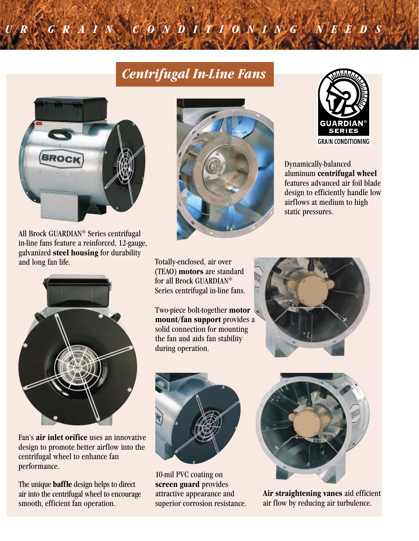# *Centrifugal In-Line Fans*

*GUARDIA <sup>N</sup> ® Se ri <sup>e</sup> <sup>s</sup> : A Complete Lin <sup>e</sup> o f Fans t o <sup>M</sup> eet Y o ur <sup>G</sup> rain C o ndi <sup>t</sup> <sup>i</sup> <sup>o</sup> ning Nee ds*



All Brock GUARDIAN® Series centrifugal in-line fans feature a reinforced, 12-gauge, galvanized **steel housing** for durability and long fan life.



Fan's **air inlet orifice** uses an innovative design to promote better airflow into the centrifugal wheel to enhance fan performance.

The unique **baffle** design helps to direct air into the centrifugal wheel to encourage smooth, efficient fan operation.





Dynamically-balanced aluminum **centrifugal wheel** features advanced air foil blade design to efficiently handle low airflows at medium to high static pressures.

Totally-enclosed, air over (TEAO) **motors** are standard for all Brock GUARDIAN® Series centrifugal in-line fans.

Two-piece bolt-together **motor mount/fan support** provides a solid connection for mounting the fan and aids fan stability during operation.





10-mil PVC coating on **screen guard** provides attractive appearance and superior corrosion resistance.



**Air straightening vanes** aid efficient air flow by reducing air turbulence.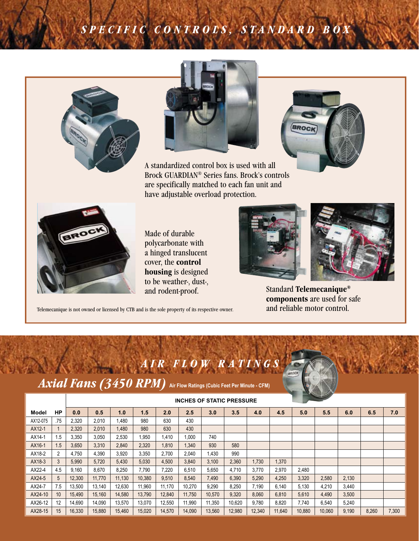# *S PE C I F I C C O N T R OL S , S T A N D A R D B O X*





A standardized control box is used with all Brock GUARDIAN® Series fans. Brock's controls are specifically matched to each fan unit and have adjustable overload protection.





Made of durable polycarbonate with a hinged translucent cover, the **control housing** is designed to be weather-, dust-,





and rodent-proof. Standard **Telemecanique**® **components** are used for safe

Telemecanique is not owned or licensed by CTB and is the sole property of its respective owner. **and reliable motor control.** 

*Axial Fans (3450 RPM)* **Air Flow Ratings (Cubic Feet Per Minute - CFM)**

*AIR FLO W RA T INGS*

|          |     |        |        |        |        |        | $\sim$ |        |        |        |        |        |        |       |       |       |
|----------|-----|--------|--------|--------|--------|--------|--------|--------|--------|--------|--------|--------|--------|-------|-------|-------|
| Model    | HP  | 0.0    | 0.5    | 1.0    | 1.5    | 2.0    | 2.5    | 3.0    | 3.5    | 4.0    | 4.5    | 5.0    | 5.5    | 6.0   | 6.5   | 7.0   |
| AX12-075 | .75 | 2,320  | 2,010  | 1.480  | 980    | 630    | 430    |        |        |        |        |        |        |       |       |       |
| AX12-1   | 1   | 2,320  | 2,010  | 1,480  | 980    | 630    | 430    |        |        |        |        |        |        |       |       |       |
| AX14-1   | 1.5 | 3,350  | 3,050  | 2,530  | ,950   | 1,410  | 1.000  | 740    |        |        |        |        |        |       |       |       |
| AX16-1   | 1.5 | 3,650  | 3,310  | 2,840  | 2,320  | 1,810  | 1,340  | 930    | 580    |        |        |        |        |       |       |       |
| AX18-2   | 2   | 4.750  | 4,390  | 3,920  | 3,350  | 2,700  | 2,040  | 1,430  | 990    |        |        |        |        |       |       |       |
| AX18-3   | 3   | 5.990  | 5.720  | 5,430  | 5.030  | 4,500  | 3,840  | 3,100  | 2,360  | 1.730  | 1,370  |        |        |       |       |       |
| AX22-4   | 4.5 | 9.160  | 8.670  | 8.250  | 7.790  | 7.220  | 6.510  | 5.650  | 4.710  | 3.770  | 2.970  | 2.480  |        |       |       |       |
| AX24-5   | 5   | 12,300 | 11,770 | 11.130 | 10,380 | 9,510  | 8,540  | 7,490  | 6,390  | 5,290  | 4,250  | 3,320  | 2,580  | 2,130 |       |       |
| AX24-7   | 7.5 | 13.500 | 13.140 | 12.630 | 11.960 | 11.170 | 10.270 | 9.290  | 8.250  | 7.190  | 6.140  | 5.130  | 4.210  | 3.440 |       |       |
| AX24-10  | 10  | 15,490 | 15,160 | 14,580 | 13.790 | 12,840 | 11,750 | 10,570 | 9,320  | 8.060  | 6.810  | 5,610  | 4,490  | 3,500 |       |       |
| AX26-12  | 12  | 14.690 | 14.090 | 13.570 | 13.070 | 12.550 | 11,990 | 11.350 | 10.620 | 9.780  | 8.820  | 7.740  | 6.540  | 5.240 |       |       |
| AX28-15  | 15  | 16,330 | 15,880 | 15,460 | 15,020 | 14,570 | 14,090 | 13,560 | 12,980 | 12,340 | 11,640 | 10,880 | 10,060 | 9,190 | 8,260 | 7,300 |